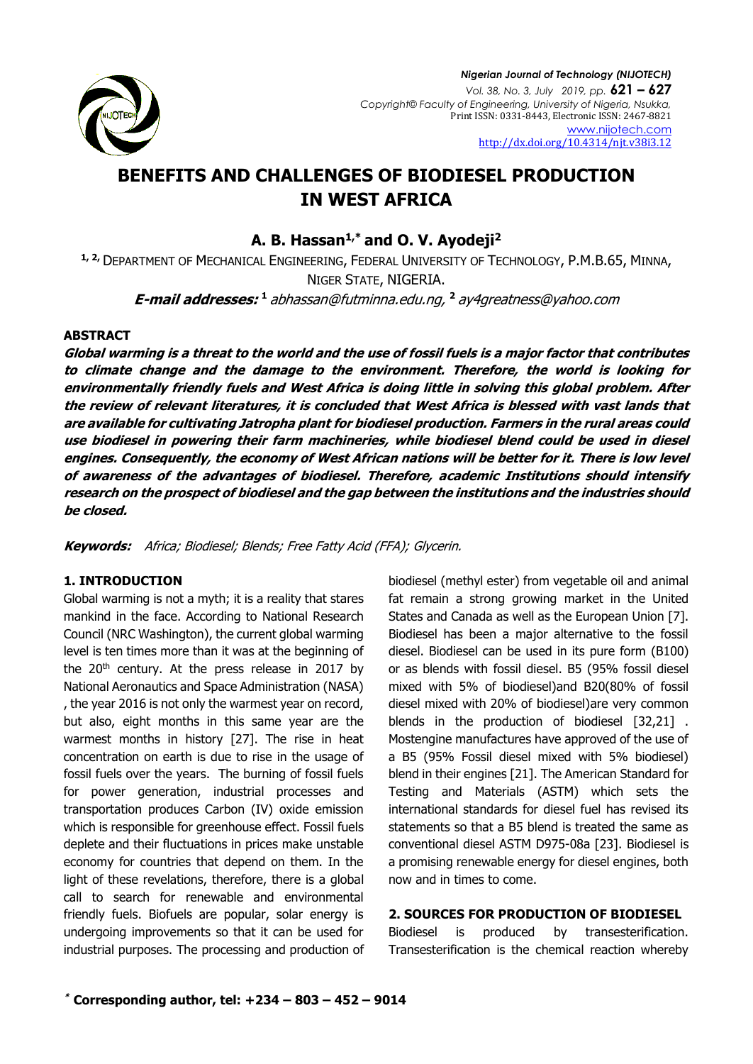

# **BENEFITS AND CHALLENGES OF BIODIESEL PRODUCTION IN WEST AFRICA**

## **A. B. Hassan1,\* and O. V. Ayodeji<sup>2</sup>**

**1, 2,** DEPARTMENT OF MECHANICAL ENGINEERING, FEDERAL UNIVERSITY OF TECHNOLOGY, P.M.B.65, MINNA, NIGER STATE, NIGERIA.

**E-mail addresses: 1** [abhassan@futminna.edu.ng,](mailto:abhassan@futminna.edu.ng) 2 [ay4greatness@yahoo.com](mailto:ay4greatness@yahoo.com)

## **ABSTRACT**

**Global warming is a threat to the world and the use of fossil fuels is <sup>a</sup> major factor that contributes to climate change and the damage to the environment. Therefore, the world is looking for environmentally friendly fuels and West Africa is doing little in solving this global problem. After the review of relevant literatures, it is concluded that West Africa is blessed with vast lands that are available for cultivating Jatropha plant for biodiesel production. Farmers in the rural areas could use biodiesel in powering their farm machineries, while biodiesel blend could be used in diesel engines. Consequently, the economy of West African nations will be better for it. There is low level of awareness of the advantages of biodiesel. Therefore, academic Institutions should intensify research on the prospect of biodiesel and the gap between the institutions and the industries should be closed.**

**Keywords:** Africa; Biodiesel; Blends; Free Fatty Acid (FFA); Glycerin.

## **1. INTRODUCTION**

Global warming is not a myth; it is a reality that stares mankind in the face. According to National Research Council (NRC Washington), the current global warming level is ten times more than it was at the beginning of the 20<sup>th</sup> century. At the press release in 2017 by National Aeronautics and Space Administration (NASA) , the year 2016 is not only the warmest year on record, but also, eight months in this same year are the warmest months in history [27]. The rise in heat concentration on earth is due to rise in the usage of fossil fuels over the years. The burning of fossil fuels for power generation, industrial processes and transportation produces Carbon (IV) oxide emission which is responsible for greenhouse effect. Fossil fuels deplete and their fluctuations in prices make unstable economy for countries that depend on them. In the light of these revelations, therefore, there is a global call to search for renewable and environmental friendly fuels. Biofuels are popular, solar energy is undergoing improvements so that it can be used for industrial purposes. The processing and production of

biodiesel (methyl ester) from vegetable oil and animal fat remain a strong growing market in the United States and Canada as well as the European Union [7]. Biodiesel has been a major alternative to the fossil diesel. Biodiesel can be used in its pure form (B100) or as blends with fossil diesel. B5 (95% fossil diesel mixed with 5% of biodiesel)and B20(80% of fossil diesel mixed with 20% of biodiesel)are very common blends in the production of biodiesel [32,21] . Mostengine manufactures have approved of the use of a B5 (95% Fossil diesel mixed with 5% biodiesel) blend in their engines [21]. The American Standard for Testing and Materials (ASTM) which sets the international standards for diesel fuel has revised its statements so that a B5 blend is treated the same as conventional diesel ASTM D975-08a [23]. Biodiesel is a promising renewable energy for diesel engines, both now and in times to come.

## **2. SOURCES FOR PRODUCTION OF BIODIESEL**

Biodiesel is produced by transesterification. Transesterification is the chemical reaction whereby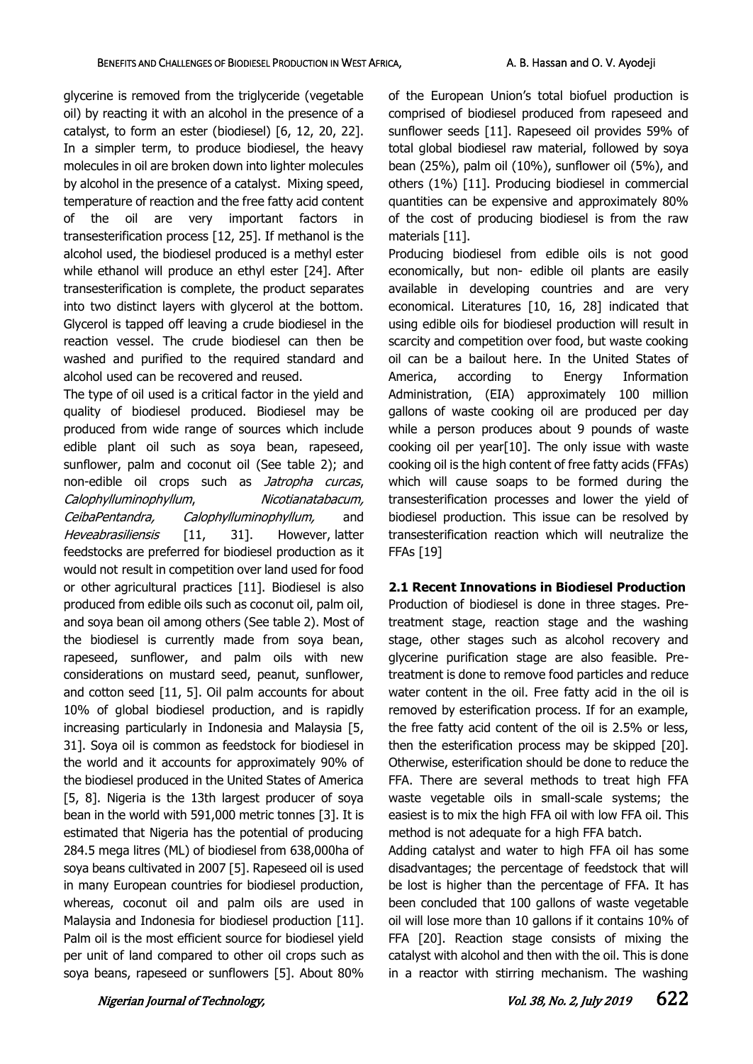glycerine is removed from the triglyceride (vegetable oil) by reacting it with an alcohol in the presence of a catalyst, to form an ester (biodiesel) [6, 12, 20, 22]. In a simpler term, to produce biodiesel, the heavy molecules in oil are broken down into lighter molecules by alcohol in the presence of a catalyst. Mixing speed, temperature of reaction and the free fatty acid content of the oil are very important factors in transesterification process [12, 25]. If methanol is the alcohol used, the biodiesel produced is a methyl ester while ethanol will produce an ethyl ester [24]. After transesterification is complete, the product separates into two distinct layers with glycerol at the bottom. Glycerol is tapped off leaving a crude biodiesel in the reaction vessel. The crude biodiesel can then be washed and purified to the required standard and alcohol used can be recovered and reused.

The type of oil used is a critical factor in the yield and quality of biodiesel produced. Biodiesel may be produced from wide range of sources which include edible plant oil such as soya bean, rapeseed, sunflower, palm and coconut oil (See table 2); and non-edible oil crops such as Jatropha curcas, Calophylluminophyllum, Nicotianatabacum, CeibaPentandra, Calophylluminophyllum, and Heveabrasiliensis [11, 31]. However, latter feedstocks are preferred for biodiesel production as it would not result in competition over land used for food or other agricultural practices [11]. Biodiesel is also produced from edible oils such as coconut oil, palm oil, and soya bean oil among others (See table 2). Most of the biodiesel is currently made from soya bean, rapeseed, sunflower, and palm oils with new considerations on mustard seed, peanut, sunflower, and cotton seed [11, 5]. Oil palm accounts for about 10% of global biodiesel production, and is rapidly increasing particularly in Indonesia and Malaysia [5, 31]. Soya oil is common as feedstock for biodiesel in the world and it accounts for approximately 90% of the biodiesel produced in the United States of America [5, 8]. Nigeria is the 13th largest producer of soya bean in the world with 591,000 metric tonnes [3]. It is estimated that Nigeria has the potential of producing 284.5 mega litres (ML) of biodiesel from 638,000ha of soya beans cultivated in 2007 [5]. Rapeseed oil is used in many European countries for biodiesel production, whereas, coconut oil and palm oils are used in Malaysia and Indonesia for biodiesel production [11]. Palm oil is the most efficient source for biodiesel yield per unit of land compared to other oil crops such as soya beans, rapeseed or sunflowers [5]. About 80%

of the European Union's total biofuel production is comprised of biodiesel produced from rapeseed and sunflower seeds [11]. Rapeseed oil provides 59% of total global biodiesel raw material, followed by soya bean (25%), palm oil (10%), sunflower oil (5%), and others (1%) [11]. Producing biodiesel in commercial quantities can be expensive and approximately 80% of the cost of producing biodiesel is from the raw materials [11].

Producing biodiesel from edible oils is not good economically, but non- edible oil plants are easily available in developing countries and are very economical. Literatures [10, 16, 28] indicated that using edible oils for biodiesel production will result in scarcity and competition over food, but waste cooking oil can be a bailout here. In the United States of America, according to Energy Information Administration, (EIA) approximately 100 million gallons of waste cooking oil are produced per day while a person produces about 9 pounds of waste cooking oil per year[10]. The only issue with waste cooking oil is the high content of free fatty acids (FFAs) which will cause soaps to be formed during the transesterification processes and lower the yield of biodiesel production. This issue can be resolved by transesterification reaction which will neutralize the FFAs [19]

## **2.1 Recent Innovations in Biodiesel Production**

Production of biodiesel is done in three stages. Pretreatment stage, reaction stage and the washing stage, other stages such as alcohol recovery and glycerine purification stage are also feasible. Pretreatment is done to remove food particles and reduce water content in the oil. Free fatty acid in the oil is removed by esterification process. If for an example, the free fatty acid content of the oil is 2.5% or less, then the esterification process may be skipped [20]. Otherwise, esterification should be done to reduce the FFA. There are several methods to treat high FFA waste vegetable oils in small-scale systems; the easiest is to mix the high FFA oil with low FFA oil. This method is not adequate for a high FFA batch.

Adding catalyst and water to high FFA oil has some disadvantages; the percentage of feedstock that will be lost is higher than the percentage of FFA. It has been concluded that 100 gallons of waste vegetable oil will lose more than 10 gallons if it contains 10% of FFA [20]. Reaction stage consists of mixing the catalyst with alcohol and then with the oil. This is done in a reactor with stirring mechanism. The washing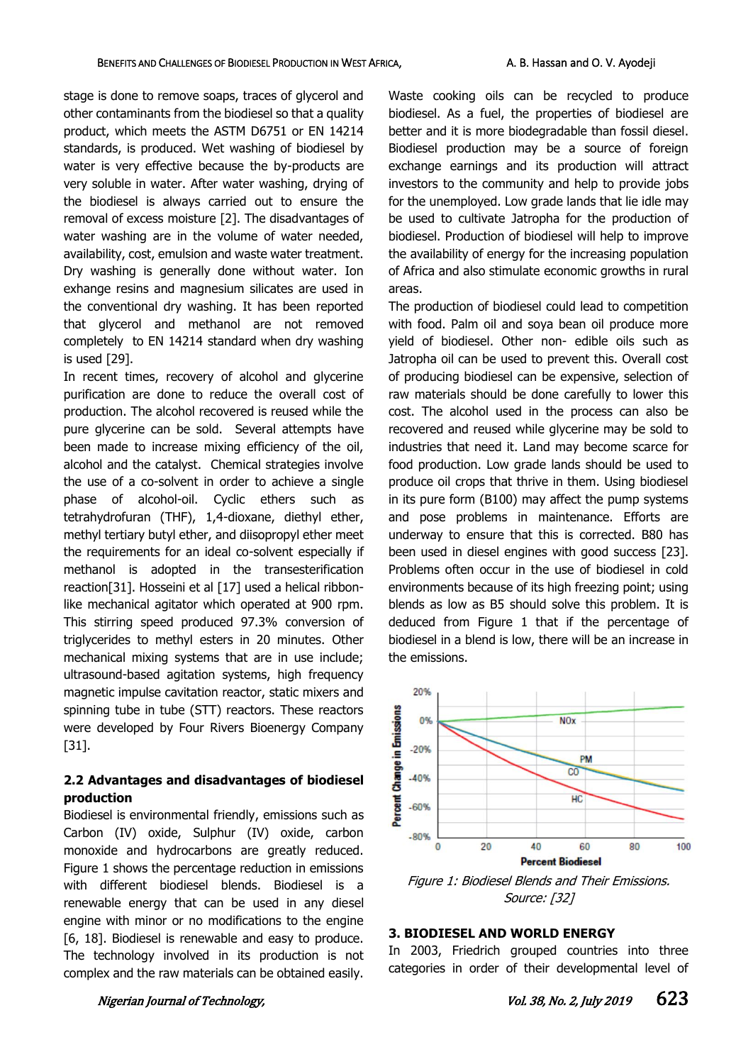#### BENEFITS AND CHALLENGES OF BIODIESEL PRODUCTION IN WEST AFRICA, A. B. HASSAN and O. V. Ayodeji

stage is done to remove soaps, traces of glycerol and other contaminants from the biodiesel so that a quality product, which meets the ASTM D6751 or EN 14214 standards, is produced. Wet washing of biodiesel by water is very effective because the by-products are very soluble in water. After water washing, drying of the biodiesel is always carried out to ensure the removal of excess moisture [2]. The disadvantages of water washing are in the volume of water needed, availability, cost, emulsion and waste water treatment. Dry washing is generally done without water. Ion exhange resins and magnesium silicates are used in the conventional dry washing. It has been reported that glycerol and methanol are not removed completely to EN 14214 standard when dry washing is used [29].

In recent times, recovery of alcohol and glycerine purification are done to reduce the overall cost of production. The alcohol recovered is reused while the pure glycerine can be sold. Several attempts have been made to increase mixing efficiency of the oil, alcohol and the catalyst. Chemical strategies involve the use of a co-solvent in order to achieve a single phase of alcohol-oil. Cyclic ethers such as tetrahydrofuran (THF), 1,4-dioxane, diethyl ether, methyl tertiary butyl ether, and diisopropyl ether meet the requirements for an ideal co-solvent especially if methanol is adopted in the transesterification reaction[31]. Hosseini et al [17] used a helical ribbonlike mechanical agitator which operated at 900 rpm. This stirring speed produced 97.3% conversion of triglycerides to methyl esters in 20 minutes. Other mechanical mixing systems that are in use include; ultrasound-based agitation systems, high frequency magnetic impulse cavitation reactor, static mixers and spinning tube in tube (STT) reactors. These reactors were developed by Four Rivers Bioenergy Company [31].

## **2.2 Advantages and disadvantages of biodiesel production**

Biodiesel is environmental friendly, emissions such as Carbon (IV) oxide, Sulphur (IV) oxide, carbon monoxide and hydrocarbons are greatly reduced. Figure 1 shows the percentage reduction in emissions with different biodiesel blends. Biodiesel is a renewable energy that can be used in any diesel engine with minor or no modifications to the engine [6, 18]. Biodiesel is renewable and easy to produce. The technology involved in its production is not complex and the raw materials can be obtained easily.

Waste cooking oils can be recycled to produce biodiesel. As a fuel, the properties of biodiesel are better and it is more biodegradable than fossil diesel. Biodiesel production may be a source of foreign exchange earnings and its production will attract investors to the community and help to provide jobs for the unemployed. Low grade lands that lie idle may be used to cultivate Jatropha for the production of biodiesel. Production of biodiesel will help to improve the availability of energy for the increasing population of Africa and also stimulate economic growths in rural areas.

The production of biodiesel could lead to competition with food. Palm oil and soya bean oil produce more yield of biodiesel. Other non- edible oils such as Jatropha oil can be used to prevent this. Overall cost of producing biodiesel can be expensive, selection of raw materials should be done carefully to lower this cost. The alcohol used in the process can also be recovered and reused while glycerine may be sold to industries that need it. Land may become scarce for food production. Low grade lands should be used to produce oil crops that thrive in them. Using biodiesel in its pure form (B100) may affect the pump systems and pose problems in maintenance. Efforts are underway to ensure that this is corrected. B80 has been used in diesel engines with good success [23]. Problems often occur in the use of biodiesel in cold environments because of its high freezing point; using blends as low as B5 should solve this problem. It is deduced from Figure 1 that if the percentage of biodiesel in a blend is low, there will be an increase in the emissions.



Source: [32]

#### **3. BIODIESEL AND WORLD ENERGY**

In 2003, Friedrich grouped countries into three categories in order of their developmental level of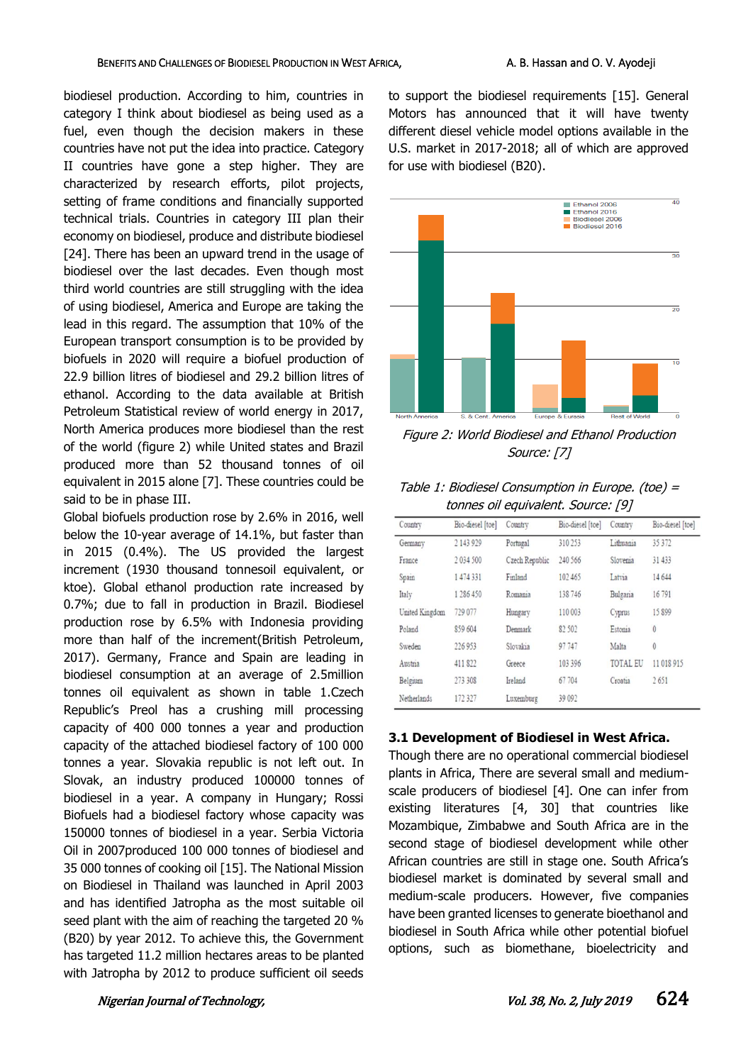#### BENEFITS AND CHALLENGES OF BIODIESEL PRODUCTION IN WEST AFRICA, A. B. HASSAN and O. V. Ayodeji

biodiesel production. According to him, countries in category I think about biodiesel as being used as a fuel, even though the decision makers in these countries have not put the idea into practice. Category II countries have gone a step higher. They are characterized by research efforts, pilot projects, setting of frame conditions and financially supported technical trials. Countries in category III plan their economy on biodiesel, produce and distribute biodiesel [24]. There has been an upward trend in the usage of biodiesel over the last decades. Even though most third world countries are still struggling with the idea of using biodiesel, America and Europe are taking the lead in this regard. The assumption that 10% of the European transport consumption is to be provided by biofuels in 2020 will require a biofuel production of 22.9 billion litres of biodiesel and 29.2 billion litres of ethanol. According to the data available at British Petroleum Statistical review of world energy in 2017, North America produces more biodiesel than the rest of the world (figure 2) while United states and Brazil produced more than 52 thousand tonnes of oil equivalent in 2015 alone [7]. These countries could be said to be in phase III.

Global biofuels production rose by 2.6% in 2016, well below the 10-year average of 14.1%, but faster than in 2015 (0.4%). The US provided the largest increment (1930 thousand tonnesoil equivalent, or ktoe). Global ethanol production rate increased by 0.7%; due to fall in production in Brazil. Biodiesel production rose by 6.5% with Indonesia providing more than half of the increment(British Petroleum, 2017). Germany, France and Spain are leading in biodiesel consumption at an average of 2.5million tonnes oil equivalent as shown in table 1.Czech Republic's Preol has a crushing mill processing capacity of 400 000 tonnes a year and production capacity of the attached biodiesel factory of 100 000 tonnes a year. Slovakia republic is not left out. In Slovak, an industry produced 100000 tonnes of biodiesel in a year. A company in Hungary; Rossi Biofuels had a biodiesel factory whose capacity was 150000 tonnes of biodiesel in a year. Serbia Victoria Oil in 2007produced 100 000 tonnes of biodiesel and 35 000 tonnes of cooking oil [15]. The National Mission on Biodiesel in Thailand was launched in April 2003 and has identified Jatropha as the most suitable oil seed plant with the aim of reaching the targeted 20 % (B20) by year 2012. To achieve this, the Government has targeted 11.2 million hectares areas to be planted with Jatropha by 2012 to produce sufficient oil seeds

to support the biodiesel requirements [15]. General Motors has announced that it will have twenty different diesel vehicle model options available in the U.S. market in 2017-2018; all of which are approved for use with biodiesel (B20).



Figure 2: World Biodiesel and Ethanol Production Source: [7]

Table 1: Biodiesel Consumption in Europe. (toe) = tonnes oil equivalent. Source: [9]

| Country        | Bio-diesel [toe] | Country        | Bio-diesel [toe] | Country         | Bio-diesel [toe] |
|----------------|------------------|----------------|------------------|-----------------|------------------|
| Germany        | 2 143 929        | Portugal       | 310 253          | Lithuania       | 35 372           |
| France         | 2 0 3 4 5 0 0    | Czech Republic | 240 566          | Slovenia        | 31 433           |
| Spain          | 1474331          | Finland        | 102 465          | Latvia          | 14 644           |
| Italy          | 1 286 450        | Romania        | 138 746          | Bulgaria        | 16 791           |
| United Kingdom | 729 077          | Hungary        | 110 003          | Cyprus          | 15 899           |
| Poland         | 859 604          | Denmark        | 82 502           | Estonia         | $\theta$         |
| Sweden         | 226953           | Slovakia       | 97 747           | Malta           | $\mathbf{0}$     |
| Austria        | 411 822          | Greece         | 103 396          | <b>TOTAL EU</b> | 11 018 915       |
| Belgium        | 273 308          | Ireland        | 67 704           | Croatia         | 2651             |
| Netherlands    | 172327           | Luxemburg      | 39 09 2          |                 |                  |

## **3.1 Development of Biodiesel in West Africa.**

Though there are no operational commercial biodiesel plants in Africa, There are several small and mediumscale producers of biodiesel [4]. One can infer from existing literatures [4, 30] that countries like Mozambique, Zimbabwe and South Africa are in the second stage of biodiesel development while other African countries are still in stage one. South Africa's biodiesel market is dominated by several small and medium-scale producers. However, five companies have been granted licenses to generate bioethanol and biodiesel in South Africa while other potential biofuel options, such as biomethane, bioelectricity and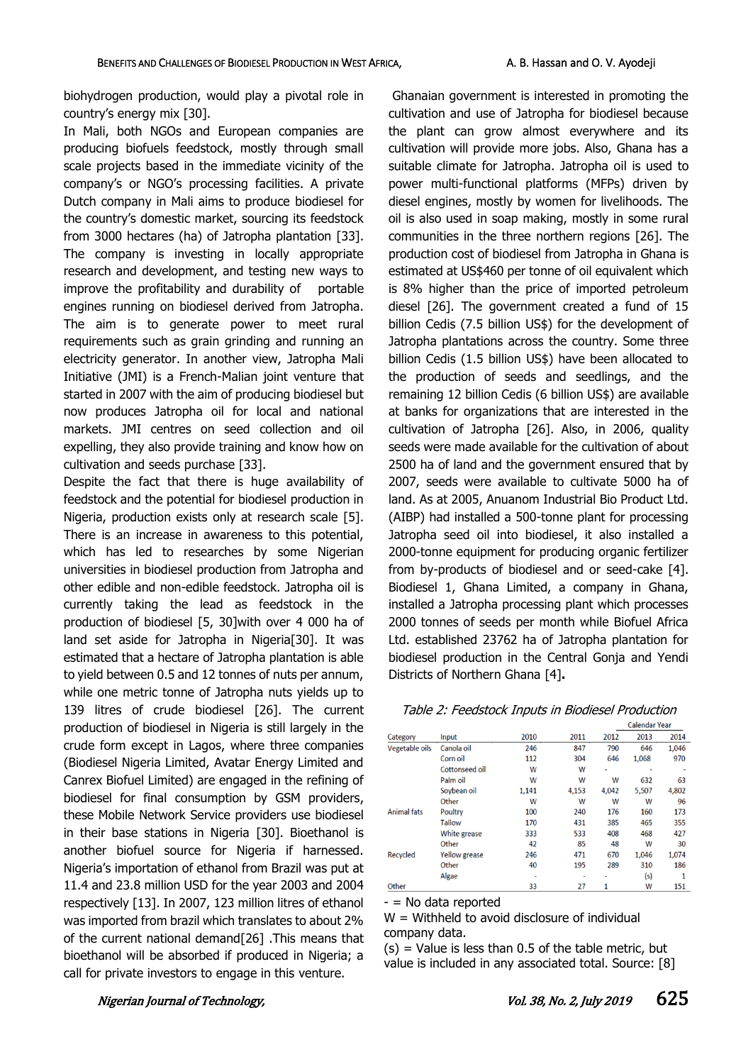biohydrogen production, would play a pivotal role in country's energy mix [30].

In Mali, both NGOs and European companies are producing biofuels feedstock, mostly through small scale projects based in the immediate vicinity of the company's or NGO's processing facilities. A private Dutch company in Mali aims to produce biodiesel for the country's domestic market, sourcing its feedstock from 3000 hectares (ha) of Jatropha plantation [33]. The company is investing in locally appropriate research and development, and testing new ways to improve the profitability and durability of portable engines running on biodiesel derived from Jatropha. The aim is to generate power to meet rural requirements such as grain grinding and running an electricity generator. In another view, Jatropha Mali Initiative (JMI) is a French-Malian joint venture that started in 2007 with the aim of producing biodiesel but now produces Jatropha oil for local and national markets. JMI centres on seed collection and oil expelling, they also provide training and know how on cultivation and seeds purchase [33].

Despite the fact that there is huge availability of feedstock and the potential for biodiesel production in Nigeria, production exists only at research scale [5]. There is an increase in awareness to this potential, which has led to researches by some Nigerian universities in biodiesel production from Jatropha and other edible and non-edible feedstock. Jatropha oil is currently taking the lead as feedstock in the production of biodiesel [5, 30]with over 4 000 ha of land set aside for Jatropha in Nigeria[30]. It was estimated that a hectare of Jatropha plantation is able to yield between 0.5 and 12 tonnes of nuts per annum, while one metric tonne of Jatropha nuts yields up to 139 litres of crude biodiesel [26]. The current production of biodiesel in Nigeria is still largely in the crude form except in Lagos, where three companies (Biodiesel Nigeria Limited, Avatar Energy Limited and Canrex Biofuel Limited) are engaged in the refining of biodiesel for final consumption by GSM providers, these Mobile Network Service providers use biodiesel in their base stations in Nigeria [30]. Bioethanol is another biofuel source for Nigeria if harnessed. Nigeria's importation of ethanol from Brazil was put at 11.4 and 23.8 million USD for the year 2003 and 2004 respectively [13]. In 2007, 123 million litres of ethanol was imported from brazil which translates to about 2% of the current national demand[26] .This means that bioethanol will be absorbed if produced in Nigeria; a call for private investors to engage in this venture.

Ghanaian government is interested in promoting the cultivation and use of Jatropha for biodiesel because the plant can grow almost everywhere and its cultivation will provide more jobs. Also, Ghana has a suitable climate for Jatropha. Jatropha oil is used to power multi-functional platforms (MFPs) driven by diesel engines, mostly by women for livelihoods. The oil is also used in soap making, mostly in some rural communities in the three northern regions [26]. The production cost of biodiesel from Jatropha in Ghana is estimated at US\$460 per tonne of oil equivalent which is 8% higher than the price of imported petroleum diesel [26]. The government created a fund of 15 billion Cedis (7.5 billion US\$) for the development of Jatropha plantations across the country. Some three billion Cedis (1.5 billion US\$) have been allocated to the production of seeds and seedlings, and the remaining 12 billion Cedis (6 billion US\$) are available at banks for organizations that are interested in the cultivation of Jatropha [26]. Also, in 2006, quality seeds were made available for the cultivation of about 2500 ha of land and the government ensured that by 2007, seeds were available to cultivate 5000 ha of land. As at 2005, Anuanom Industrial Bio Product Ltd. (AIBP) had installed a 500-tonne plant for processing Jatropha seed oil into biodiesel, it also installed a 2000-tonne equipment for producing organic fertilizer from by-products of biodiesel and or seed-cake [4]. Biodiesel 1, Ghana Limited, a company in Ghana, installed a Jatropha processing plant which processes 2000 tonnes of seeds per month while Biofuel Africa Ltd. established 23762 ha of Jatropha plantation for biodiesel production in the Central Gonja and Yendi Districts of Northern Ghana [4]**.** 

#### Table 2: Feedstock Inputs in Biodiesel Production

|                    |                      |       |       |       | Calendar Year |       |
|--------------------|----------------------|-------|-------|-------|---------------|-------|
| Category           | Input                | 2010  | 2011  | 2012  | 2013          | 2014  |
| Vegetable oils     | Canola oil           | 246   | 847   | 790   | 646           | 1,046 |
|                    | Corn oil             | 112   | 304   | 646   | 1.068         | 970   |
|                    | Cottonseed oil       | W     | W     | ۰     | ٠             |       |
|                    | Palm oil             | W     | W     | W     | 632           | 63    |
|                    | Soybean oil          | 1,141 | 4,153 | 4,042 | 5,507         | 4,802 |
|                    | Other                | W     | W     | W     | W             | 96    |
| <b>Animal fats</b> | Poultry              | 100   | 240   | 176   | 160           | 173   |
|                    | <b>Tallow</b>        | 170   | 431   | 385   | 465           | 355   |
|                    | White grease         | 333   | 533   | 408   | 468           | 427   |
|                    | Other                | 42    | 85    | 48    | W             | 30    |
| Recycled           | <b>Yellow grease</b> | 246   | 471   | 670   | 1,046         | 1,074 |
|                    | Other                | 40    | 195   | 289   | 310           | 186   |
|                    | Algae                | ٠     | ٠     | ٠     | (s)           | 1     |
| Other              |                      | 33    | 27    | 1     | W             | 151   |

 $-$  = No data reported

 $W =$  Withheld to avoid disclosure of individual company data.

 $(s)$  = Value is less than 0.5 of the table metric, but value is included in any associated total. Source: [8]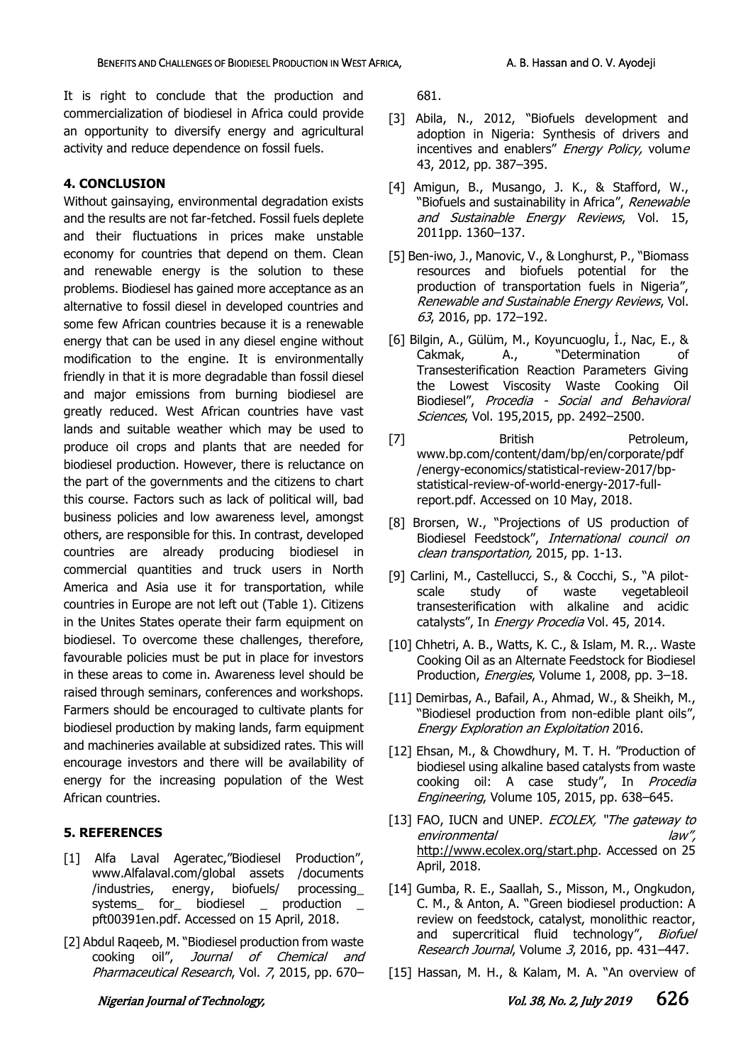It is right to conclude that the production and commercialization of biodiesel in Africa could provide an opportunity to diversify energy and agricultural activity and reduce dependence on fossil fuels.

#### **4. CONCLUSION**

Without gainsaying, environmental degradation exists and the results are not far-fetched. Fossil fuels deplete and their fluctuations in prices make unstable economy for countries that depend on them. Clean and renewable energy is the solution to these problems. Biodiesel has gained more acceptance as an alternative to fossil diesel in developed countries and some few African countries because it is a renewable energy that can be used in any diesel engine without modification to the engine. It is environmentally friendly in that it is more degradable than fossil diesel and major emissions from burning biodiesel are greatly reduced. West African countries have vast lands and suitable weather which may be used to produce oil crops and plants that are needed for biodiesel production. However, there is reluctance on the part of the governments and the citizens to chart this course. Factors such as lack of political will, bad business policies and low awareness level, amongst others, are responsible for this. In contrast, developed countries are already producing biodiesel in commercial quantities and truck users in North America and Asia use it for transportation, while countries in Europe are not left out (Table 1). Citizens in the Unites States operate their farm equipment on biodiesel. To overcome these challenges, therefore, favourable policies must be put in place for investors in these areas to come in. Awareness level should be raised through seminars, conferences and workshops. Farmers should be encouraged to cultivate plants for biodiesel production by making lands, farm equipment and machineries available at subsidized rates. This will encourage investors and there will be availability of energy for the increasing population of the West African countries.

#### **5. REFERENCES**

- [1] Alfa Laval Ageratec,"Biodiesel Production", www.Alfalaval.com/global assets /documents /industries, energy, biofuels/ processing\_ systems\_ for\_ biodiesel \_ production pft00391en.pdf. Accessed on 15 April, 2018.
- [2] Abdul Raqeeb, M. "Biodiesel production from waste cooking oil", Journal of Chemical and Pharmaceutical Research, Vol. 7, 2015, pp. 670-

681.

- [3] Abila, N., 2012, "Biofuels development and adoption in Nigeria: Synthesis of drivers and incentives and enablers" Energy Policy, volume 43, 2012, pp. 387–395.
- [4] Amigun, B., Musango, J. K., & Stafford, W., "Biofuels and sustainability in Africa", Renewable and Sustainable Energy Reviews, Vol. 15, 2011pp. 1360–137.
- [5] Ben-iwo, J., Manovic, V., & Longhurst, P., "Biomass resources and biofuels potential for the production of transportation fuels in Nigeria", Renewable and Sustainable Energy Reviews, Vol. 63, 2016, pp. 172–192.
- [6] Bilgin, A., Gülüm, M., Koyuncuoglu, İ., Nac, E., & Cakmak, A., "Determination of Transesterification Reaction Parameters Giving the Lowest Viscosity Waste Cooking Oil Biodiesel", Procedia - Social and Behavioral Sciences, Vol. 195, 2015, pp. 2492-2500.
- [7] British Petroleum, www.bp.com/content/dam/bp/en/corporate/pdf /energy-economics/statistical-review-2017/bpstatistical-review-of-world-energy-2017-fullreport.pdf. Accessed on 10 May, 2018.
- [8] Brorsen, W., "Projections of US production of Biodiesel Feedstock", International council on clean transportation, 2015, pp. 1-13.
- [9] Carlini, M., Castellucci, S., & Cocchi, S., "A pilotscale study of waste vegetableoil transesterification with alkaline and acidic catalysts", In Energy Procedia Vol. 45, 2014.
- [10] Chhetri, A. B., Watts, K. C., & Islam, M. R.,. Waste Cooking Oil as an Alternate Feedstock for Biodiesel Production, *Energies*, Volume 1, 2008, pp. 3-18.
- [11] Demirbas, A., Bafail, A., Ahmad, W., & Sheikh, M., "Biodiesel production from non-edible plant oils", Energy Exploration an Exploitation 2016.
- [12] Ehsan, M., & Chowdhury, M. T. H. "Production of biodiesel using alkaline based catalysts from waste cooking oil: A case study", In Procedia Engineering, Volume 105, 2015, pp. 638–645.
- [13] FAO, IUCN and UNEP. ECOLEX, "The gateway to environmental law", [http://www.ecolex.org/start.php.](http://www.ecolex.org/start.php) Accessed on 25 April, 2018.
- [14] Gumba, R. E., Saallah, S., Misson, M., Ongkudon, C. M., & Anton, A. "Green biodiesel production: A review on feedstock, catalyst, monolithic reactor, and supercritical fluid technology", Biofuel Research Journal, Volume 3, 2016, pp. 431–447.
- [15] Hassan, M. H., & Kalam, M. A. "An overview of